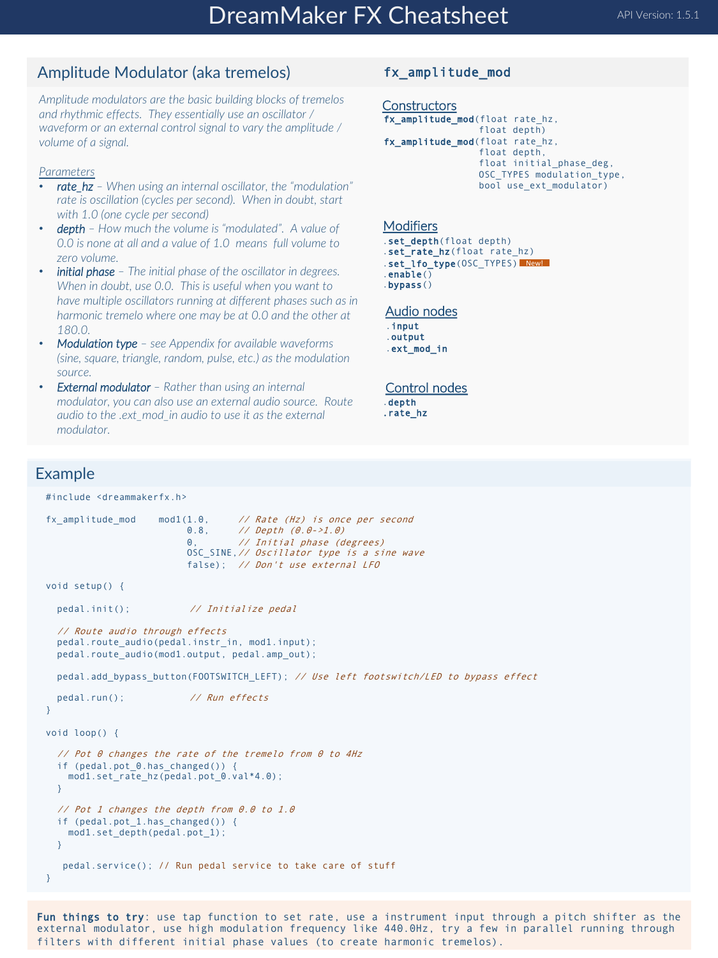## Amplitude Modulator (aka tremelos)

*Amplitude modulators are the basic building blocks of tremelos and rhythmic effects. They essentially use an oscillator / waveform or an external control signal to vary the amplitude / volume of a signal.*

#### *Parameters*

- *rate\_hz – When using an internal oscillator, the "modulation" rate is oscillation (cycles per second). When in doubt, start with 1.0 (one cycle per second)*
- *depth – How much the volume is "modulated". A value of 0.0 is none at all and a value of 1.0 means full volume to zero volume.*
- *initial phase – The initial phase of the oscillator in degrees. When in doubt, use 0.0. This is useful when you want to have multiple oscillators running at different phases such as in harmonic tremelo where one may be at 0.0 and the other at 180.0.*
- *Modulation type – see Appendix for available waveforms (sine, square, triangle, random, pulse, etc.) as the modulation source.*
- *External modulator – Rather than using an internal modulator, you can also use an external audio source. Route audio to the .ext\_mod\_in audio to use it as the external modulator.*

### fx\_amplitude\_mod

```
Constructors
fx_amplitude_mod(float rate_hz, 
                 float depth)
fx_amplitude_mod(float rate hz.
                 float depth, 
                 float initial_phase_deg, 
                 OSC_TYPES modulation_type, 
                 bool use ext modulator)
```
#### Modifiers

```
.set_depth(float depth)
.set_rate_hz(float rate_hz)
.set_lfo_type(OSC_TYPES) New!
.enable()
.bypass()
```
#### Audio nodes

.input .output .ext\_mod\_in

#### Control nodes

.depth .rate\_hz

### Example

#include <dreammakerfx.h>

```
fx_amplitude_mod mod1(1.0, // Rate (Hz) is once per second 0.8, // Depth (0.0-21.0)0.8, // Depth (0.0->1.0)
                         0, // Initial phase (degrees)
                         OSC SINE, // Oscillator type is a sine wave
                         false); // Don't use external LFO
void setup() {
 pedal.init(); // Initialize pedal
  // Route audio through effects
 pedal.route_audio(pedal.instr_in, mod1.input);
 pedal.route audio(mod1.output, pedal.amp out);
 pedal.add bypass button(FOOTSWITCH_LEFT); // Use left footswitch/LED to bypass effect
 pedal.run(); // Run effects
}
void loop() {
  // Pot 0 changes the rate of the tremelo from 0 to 4Hz
  if (pedal.pot 0.has changed()) {
   mod1.set_rate_hz(pedal.pot_0.val*4.0);
 }
  // Pot 1 changes the depth from 0.0 to 1.0
  if (pedal.pot_1.has_changed()) {
   mod1.set_depth(pedal.pot_1);
  }
   pedal.service(); // Run pedal service to take care of stuff
}
```
Fun things to try: use tap function to set rate, use a instrument input through a pitch shifter as the external modulator, use high modulation frequency like 440.0Hz, try a few in parallel running through filters with different initial phase values (to create harmonic tremelos).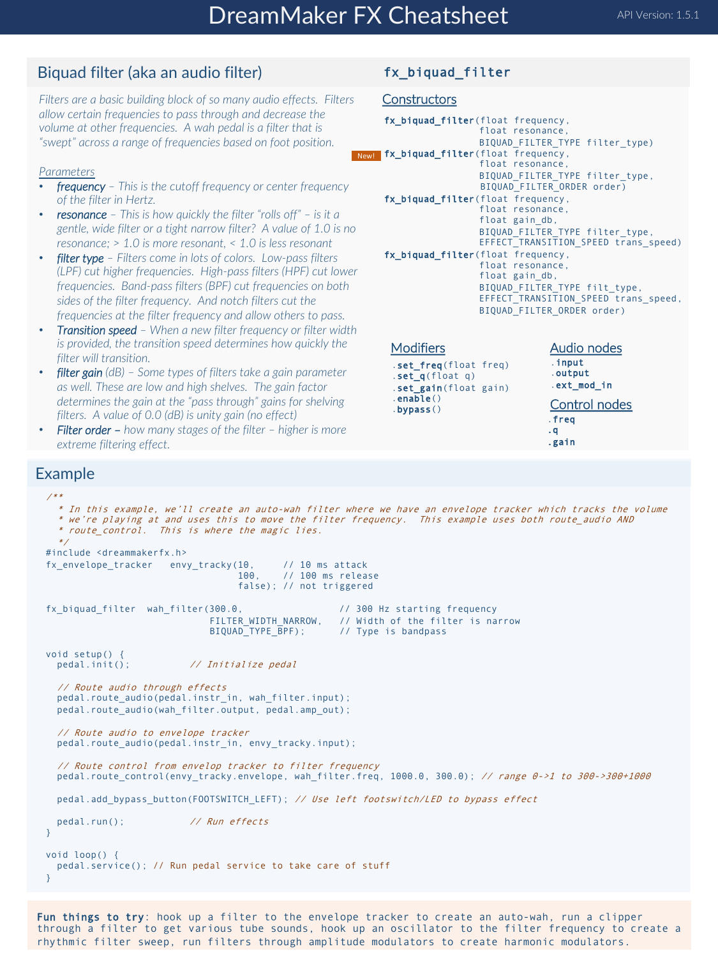## Biquad filter (aka an audio filter)

*Filters are a basic building block of so many audio effects. Filters allow certain frequencies to pass through and decrease the volume at other frequencies. A wah pedal is a filter that is "swept" across a range of frequencies based on foot position.* 

### *Parameters*

- *frequency – This is the cutoff frequency or center frequency of the filter in Hertz.*
- *resonance – This is how quickly the filter "rolls off" – is it a gentle, wide filter or a tight narrow filter? A value of 1.0 is no resonance; > 1.0 is more resonant, < 1.0 is less resonant*
- *filter type – Filters come in lots of colors. Low-pass filters (LPF) cut higher frequencies. High-pass filters (HPF) cut lower frequencies. Band-pass filters (BPF) cut frequencies on both sides of the filter frequency. And notch filters cut the frequencies at the filter frequency and allow others to pass.*
- *Transition speed – When a new filter frequency or filter width is provided, the transition speed determines how quickly the filter will transition.*
- *filter gain (dB) – Some types of filters take a gain parameter as well. These are low and high shelves. The gain factor determines the gain at the "pass through" gains for shelving filters. A value of 0.0 (dB) is unity gain (no effect)*
- *Filter order – how many stages of the filter – higher is more extreme filtering effect.*

## Example

/\*\*

fx\_biquad\_filter

### **Constructors**

```
fx_biquad_filter(float frequency, 
                        float resonance,
                        BIQUAD_FILTER_TYPE filter_type)
New! fx_biquad_filter(float frequency,
                        float resonance,
                        BIQUAD_FILTER_TYPE filter_type,
                        BIQUAD_FILTER_ORDER order)
     fx_biquad_filter(float frequency, 
                        float resonance, 
                        float gain_db, 
                        BIQUAD_FILTER_TYPE filter_type, 
                        EFFECT<sup>TRANSITION</sup> SPEED trans speed)
     fx_biquad_filter(float frequency, 
                        float resonance, 
                        float gain_db, 
                        BIQUAD_FILTER_TYPE filt_type, 
EFFECT_TRANSITION_SPEED trans_speed, 
                        BIQUAD_FILTER_ORDER order)
```
#### **Modifiers**

.set\_freq(float freq) .set\_q(float q) .set\_gain(float gain) .enable() .bypass()

Audio nodes .input .output .ext\_mod\_in Control nodes .freq .q .gain

```
* In this example, we'll create an auto-wah filter where we have an envelope tracker which tracks the volume
  * we're playing at and uses this to move the filter frequency. This example uses both route_audio AND 
  * route_control. This is where the magic lies.
  */
#include <dreammakerfx.h>
fx_envelope_tracker envy_tracky(10, // 10 ms attack
                                           // 100 ms release
                                   false); // not triggered
fx_biquad_filter wah_filter(300.0, // 300 Hz starting frequency
                              FILTER_WIDTH_NARROW, // Width of the filter is narrow<br>BIQUAD TYPE BPF); // Type is bandpass
                                                     // Type is bandpass
void setup() {<br>pedal.init();
                          // Initialize pedal
  // Route audio through effects
  pedal.route_audio(pedal.instr_in, wah_filter.input);
  pedal.route_audio(wah_filter.output, pedal.amp_out);
  // Route audio to envelope tracker
  pedal.route_audio(pedal.instr_in, envy_tracky.input);
  // Route control from envelop tracker to filter frequency 
  pedal.route_control(envy_tracky.envelope, wah_filter.freq, 1000.0, 300.0); // range 0->1 to 300->300+1000
  pedal.add_bypass_button(FOOTSWITCH_LEFT); // Use left footswitch/LED to bypass effect
  pedal.run(); // Run effects
}
void loop() {
 pedal.service(); // Run pedal service to take care of stuff
}
```
Fun things to try: hook up a filter to the envelope tracker to create an auto-wah, run a clipper through a filter to get various tube sounds, hook up an oscillator to the filter frequency to create a rhythmic filter sweep, run filters through amplitude modulators to create harmonic modulators.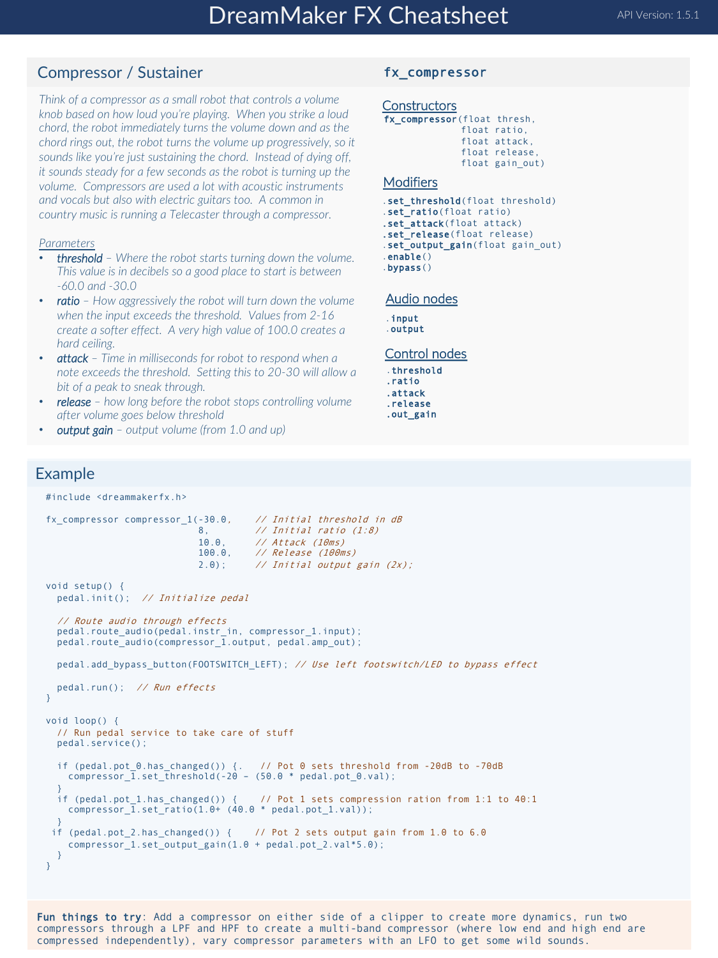## Compressor / Sustainer

*Think of a compressor as a small robot that controls a volume knob based on how loud you're playing. When you strike a loud chord, the robot immediately turns the volume down and as the chord rings out, the robot turns the volume up progressively, so it sounds like you're just sustaining the chord. Instead of dying off, it sounds steady for a few seconds as the robot is turning up the volume. Compressors are used a lot with acoustic instruments and vocals but also with electric guitars too. A common in country music is running a Telecaster through a compressor.*

#### *Parameters*

- *threshold – Where the robot starts turning down the volume. This value is in decibels so a good place to start is between -60.0 and -30.0*
- *ratio – How aggressively the robot will turn down the volume when the input exceeds the threshold. Values from 2-16 create a softer effect. A very high value of 100.0 creates a hard ceiling.*
- *attack – Time in milliseconds for robot to respond when a note exceeds the threshold. Setting this to 20-30 will allow a bit of a peak to sneak through.*
- *release – how long before the robot stops controlling volume after volume goes below threshold*
- *output gain – output volume (from 1.0 and up)*

#### fx\_compressor

### **Constructors**

```
fx_compressor(float thresh, 
               float ratio, 
               float attack, 
               float release, 
               float gain_out)
```
#### **Modifiers**

.set\_threshold(float threshold) .set\_ratio(float ratio) .set attack(float attack) .set release(float release) .set\_output\_gain(float gain\_out) .enable() .bypass()

Audio nodes

.input .output

#### Control nodes

.threshold .ratio .attack .release .out\_gain

#### Example

```
#include <dreammakerfx.h>
fx compressor compressor 1(-30.0, // Initial threshold in dB
                             8, // Initial ratio (1:8)
                             10.0, // Attack (10ms)<br>100.0, // Release (100m
                                       // Release (100ms)
                             2.0; // Initial output gain (2x);
void setup() {
 pedal.init(); // Initialize pedal
  // Route audio through effects
 pedal.route_audio(pedal.instr_in, compressor_1.input);
 pedal.route_audio(compressor \overline{1}.output, pedal.amp_out);
 pedal.add bypass_button(FOOTSWITCH_LEFT); // Use left footswitch/LED to bypass effect
 pedal.run(); // Run effects
}
void loop() {
 // Run pedal service to take care of stuff
 pedal.service(); 
  if (pedal.pot_0.has_changed()) {. // Pot 0 sets threshold from -20dB to -70dB
compressor_1.set_threshold(-20 – (50.0 * pedal.pot_0.val); 
  }
if (pedal.pot_1.has_changed()) { // Pot 1 sets compression ration from 1:1 to 40:1
    compression_1.set_ratio(1.0+ (40.0 * pedal.pot_1.val));}
 if (pedal.pot 2.has changed()) { // Pot 2 sets output gain from 1.0 to 6.0
    compressor_1.set_output_gain(1.0 + pedal.pot_2.val*5.0);
  }
}
```
Fun things to try: Add a compressor on either side of a clipper to create more dynamics, run two compressors through a LPF and HPF to create a multi-band compressor (where low end and high end are compressed independently), vary compressor parameters with an LFO to get some wild sounds.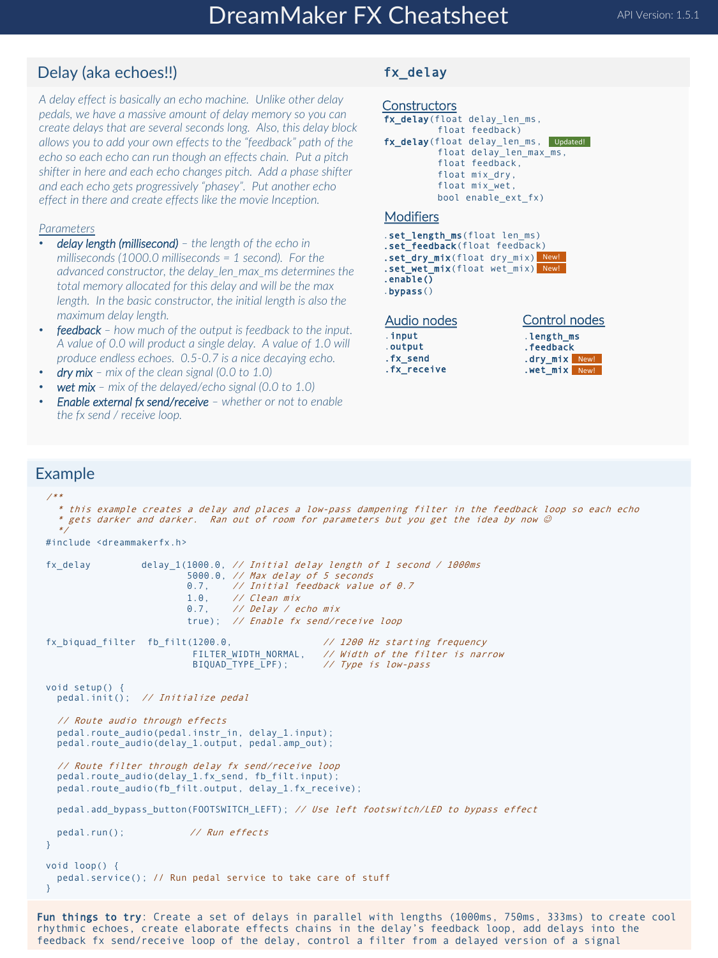## Delay (aka echoes!!)

*A delay effect is basically an echo machine. Unlike other delay pedals, we have a massive amount of delay memory so you can create delays that are several seconds long. Also, this delay block allows you to add your own effects to the "feedback" path of the echo so each echo can run though an effects chain. Put a pitch shifter in here and each echo changes pitch. Add a phase shifter and each echo gets progressively "phasey". Put another echo effect in there and create effects like the movie Inception.*

#### *Parameters*

- *delay length (millisecond) – the length of the echo in milliseconds (1000.0 milliseconds = 1 second). For the advanced constructor, the delay\_len\_max\_ms determines the total memory allocated for this delay and will be the max length. In the basic constructor, the initial length is also the maximum delay length.*
- *feedback – how much of the output is feedback to the input. A value of 0.0 will product a single delay. A value of 1.0 will produce endless echoes. 0.5-0.7 is a nice decaying echo.*
- *dry mix – mix of the clean signal (0.0 to 1.0)*
- *wet mix – mix of the delayed/echo signal (0.0 to 1.0)*
- *Enable external fx send/receive – whether or not to enable the fx send / receive loop.*

## fx\_delay

### **Constructors**

```
fx_delay(float delay_len_ms, 
          float feedback)
fx_delay(float delay len ms, Updated!
          float delay_len_max_ms, 
          float feedback, 
          float mix_dry, 
          float mix wet,
          bool enable_ext_fx)
```
#### **Modifiers**

- .set\_length\_ms(float len\_ms) .set\_feedback(float feedback) .set\_dry\_mix(float dry\_mix) New! .set\_wet\_mix(float wet mix) New!
- .enable()

```
.bypass()
```

| Audio nodes |  |
|-------------|--|
| .input      |  |
| .output     |  |
| .fx send    |  |
| .fx receive |  |

| Control nodes |  |  |
|---------------|--|--|
| length ms.    |  |  |
| . feedback    |  |  |
| .dry mix New! |  |  |
| .wet mix New! |  |  |

### Example

```
/**
  * this example creates a delay and places a low-pass dampening filter in the feedback loop so each echo
  * gets darker and darker. Ran out of room for parameters but you get the idea by now \oslash*/
#include <dreammakerfx.h>
fx_delay delay_1(1000.0, // Initial delay length of 1 second / 1000ms
                         5000.0, // Max delay of 5 seconds
                         0.7, // Initial feedback value of 0.7
                         1.0, // Clean mix
                         0.7, // Delay / echo mix
                         true); // Enable fx send/receive loop
fx_biquad_filter fb_filt(1200.0, // 1200 Hz starting frequency
                          FILTER_WIDTH_NORMAL, // Width of the filter is narrow<br>BIQUAD_TYPE_LPF); // Type is low-pass
                                                 I/ Type is low-pass
void setup() {
 pedal.init(); // Initialize pedal
  // Route audio through effects
 pedal.route_audio(pedal.instr_in, delay_1.input);
 pedal.route_audio(delay_1.output, pedal.amp_out);
  // Route filter through delay fx send/receive loop
 pedal.route_audio(delay_1.fx_send, fb_filt.input);
 pedal.route_audio(fb_filt.output, delay_1.fx_receive);
 pedal.add_bypass_button(FOOTSWITCH_LEFT); // Use left footswitch/LED to bypass effect
 pedal.run(); // Run effects
}
void loop() {
 pedal.service(); // Run pedal service to take care of stuff
}
```
Fun things to try: Create a set of delays in parallel with lengths (1000ms, 750ms, 333ms) to create cool rhythmic echoes, create elaborate effects chains in the delay's feedback loop, add delays into the feedback fx send/receive loop of the delay, control a filter from a delayed version of a signal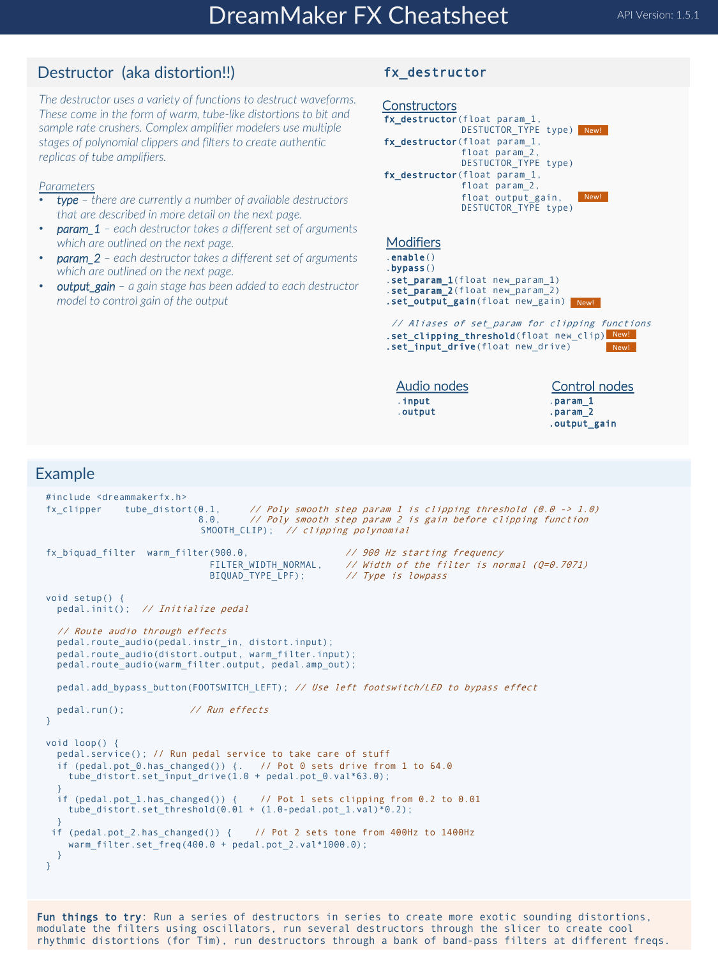## Destructor (aka distortion!!)

*The destructor uses a variety of functions to destruct waveforms. These come in the form of warm, tube-like distortions to bit and sample rate crushers. Complex amplifier modelers use multiple stages of polynomial clippers and filters to create authentic replicas of tube amplifiers.*

#### *Parameters*

- *type – there are currently a number of available destructors that are described in more detail on the next page.*
- *param\_1 – each destructor takes a different set of arguments which are outlined on the next page.*
- *param\_2 – each destructor takes a different set of arguments which are outlined on the next page.*
- *output\_gain – a gain stage has been added to each destructor model to control gain of the output*

#### fx\_destructor



Fun things to try: Run a series of destructors in series to create more exotic sounding distortions, modulate the filters using oscillators, run several destructors through the slicer to create cool rhythmic distortions (for Tim), run destructors through a bank of band-pass filters at different freqs.

## Example

void setup() {

void loop() {

}

}

}

} }

#include <dreammakerfx.h>

pedal.init(); // Initialize pedal // Route audio through effects

pedal.run(); // Run effects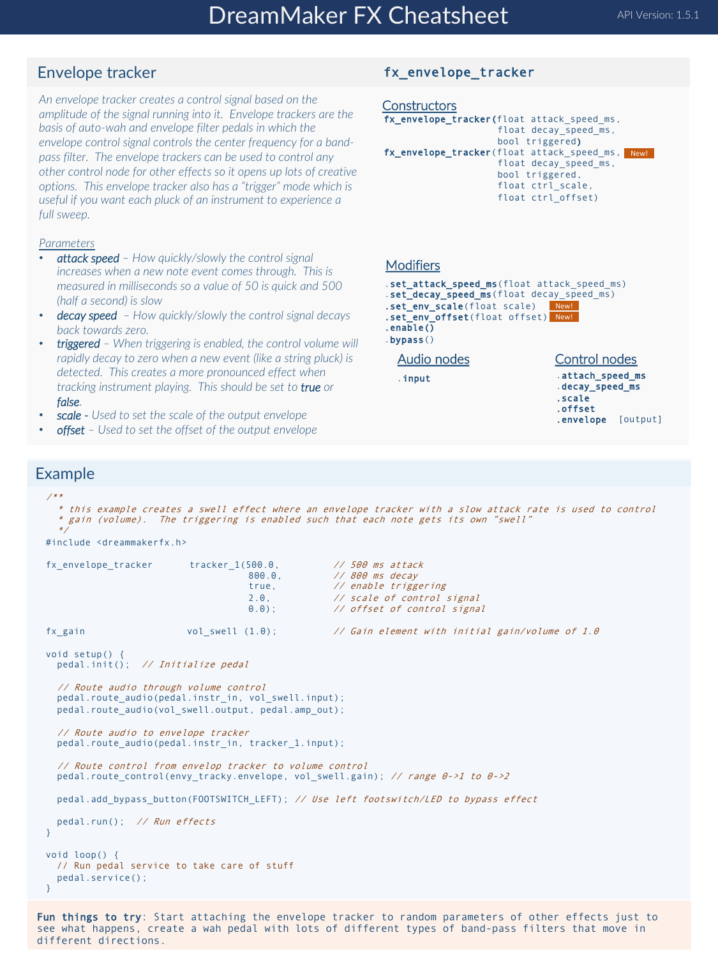## Envelope tracker

*An envelope tracker creates a control signal based on the amplitude of the signal running into it. Envelope trackers are the basis of auto-wah and envelope filter pedals in which the envelope control signal controls the center frequency for a bandpass filter. The envelope trackers can be used to control any other control node for other effects so it opens up lots of creative options. This envelope tracker also has a "trigger" mode which is useful if you want each pluck of an instrument to experience a full sweep.* 

#### *Parameters*

- *attack speed – How quickly/slowly the control signal increases when a new note event comes through. This is measured in milliseconds so a value of 50 is quick and 500 (half a second) is slow*
- *decay speed – How quickly/slowly the control signal decays back towards zero.*
- *triggered – When triggering is enabled, the control volume will rapidly decay to zero when a new event (like a string pluck) is detected. This creates a more pronounced effect when tracking instrument playing. This should be set to true or false.*
- *scale - Used to set the scale of the output envelope*
- *offset – Used to set the offset of the output envelope*

## fx\_envelope\_tracker

```
Constructors
fx_envelope_tracker(float attack_speed_ms, 
                     float decay_speed_ms, 
                     bool triggered) 
fx_envelope_tracker(float attack_speed_ms, New!
                     float decay_speed_ms, 
                     bool triggered, 
                     float ctrl_scale, 
                     float ctrl_offset)
```
#### **Modifiers**

```
.set_attack_speed_ms(float attack speed_ms)
.set_decay_speed_ms(float decay_speed_ms)
.set_env_scale(float scale)
.set_env_offset(float offset)
New!
.enable()
                               New!
```
.bypass()

.input

```
Audio nodes
```
Control nodes

```
.attach_speed_ms
.decay_speed_ms
.scale
.offset
.envelope [output]
```
### Example

```
/**
  * this example creates a swell effect where an envelope tracker with a slow attack rate is used to control
  * gain (volume). The triggering is enabled such that each note gets its own "swell" 
  */
#include <dreammakerfx.h>
fx_envelope_tracker tracker_1(500.0, \frac{1}{800} // 500 ms attack<br>800.0. // 800 ms decav
                                                     // 800 ms decay
                                      true, // enable triggering
                                     2.0, \frac{1}{2} scale of control signal <br>0.0); \frac{1}{2} offset of control signal
                                                     // offset of control signal
fx_gain vol_swell (1.0); // Gain element with initial gain/volume of 1.0
void setup() {
  pedal.init(); // Initialize pedal
  // Route audio through volume control
  pedal.route_audio(pedal.instr_in, vol_swell.input); 
  pedal.route_audio(vol_swell.output, pedal.amp_out);
  // Route audio to envelope tracker
  pedal.route_audio(pedal.instr_in, tracker_1.input); 
  // Route control from envelop tracker to volume control
 pedal.route_control(envy_tracky.envelope, vol_swell.gain); // range \theta->1 to \theta->2
  pedal.add_bypass_button(FOOTSWITCH_LEFT); // Use left footswitch/LED to bypass effect
  pedal.run(); // Run effects
}
void loop() {
  // Run pedal service to take care of stuff
  pedal.service(); 
}
```
Fun things to try: Start attaching the envelope tracker to random parameters of other effects just to see what happens, create a wah pedal with lots of different types of band-pass filters that move in different directions.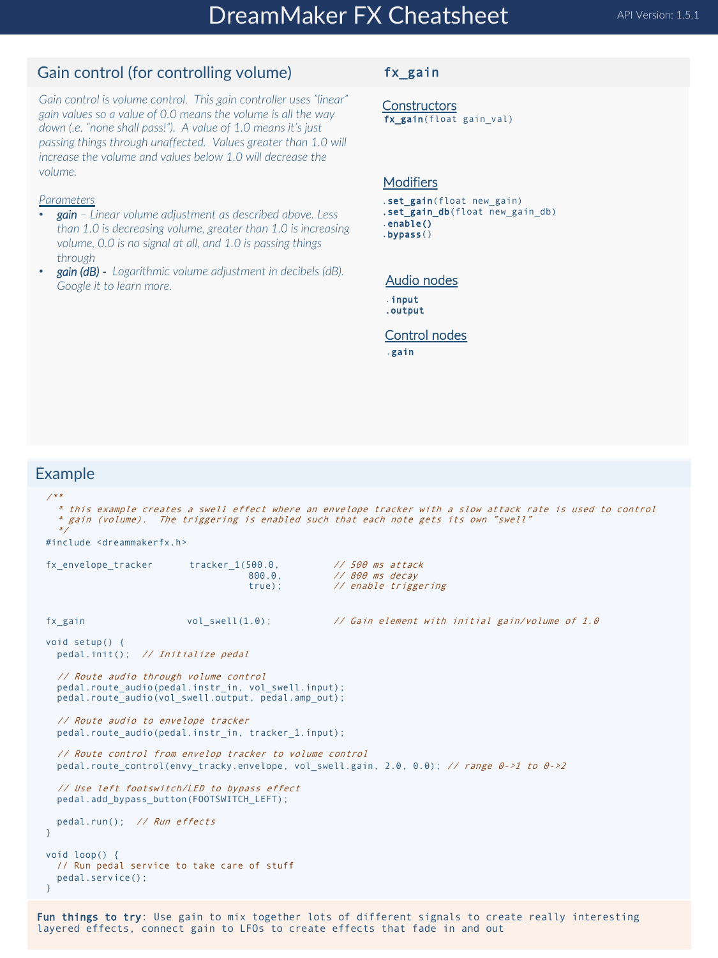## Gain control (for controlling volume)

*Gain control is volume control. This gain controller uses "linear" gain values so a value of 0.0 means the volume is all the way down (.e. "none shall pass!"). A value of 1.0 means it's just passing things through unaffected. Values greater than 1.0 will increase the volume and values below 1.0 will decrease the volume.*

### *Parameters*

- *gain – Linear volume adjustment as described above. Less than 1.0 is decreasing volume, greater than 1.0 is increasing volume, 0.0 is no signal at all, and 1.0 is passing things through*
- *gain (dB) - Logarithmic volume adjustment in decibels (dB). Google it to learn more.*

### fx\_gain

**Constructors** fx\_gain(float gain val)

#### **Modifiers**

- .set\_gain(float new gain)
- .set\_gain\_db(float new\_gain\_db)
- .enable() .bypass()

#### Audio nodes

- .input .output
- Control nodes

.gain

### Example

```
/**
  * this example creates a swell effect where an envelope tracker with a slow attack rate is used to control
  * gain (volume). The triggering is enabled such that each note gets its own "swell" 
  */
#include <dreammakerfx.h>
fx_envelope_tracker tracker_1(500.0, \frac{1}{800} // 500 ms attack<br>800.0. // 800 ms decav
                                                      // 800 ms decay
                                      true); // enable triggering 
fx_gain vol_swell(1.0); // Gain element with initial gain/volume of 1.0
void setup() {
 pedal.init(); // Initialize pedal
  // Route audio through volume control<br>pedal.route audio(pedal.instr_in, vol_swell.input);
  pedal.route_audio(vol_swell.output, pedal.amp_out);
  // Route audio to envelope tracker
  pedal.route_audio(pedal.instr_in, tracker_1.input); 
  // Route control from envelop tracker to volume control
 pedal.route control(envy tracky.envelope, vol swell.gain, 2.0, 0.0); // range \theta \rightarrow 1 to \theta \rightarrow 2// Use left footswitch/LED to bypass effect
  pedal.add_bypass_button(FOOTSWITCH_LEFT); 
  pedal.run(); // Run effects
}
void loop() {
  // Run pedal service to take care of stuff
  pedal.service(); 
}
```
Fun things to try: Use gain to mix together lots of different signals to create really interesting layered effects, connect gain to LFOs to create effects that fade in and out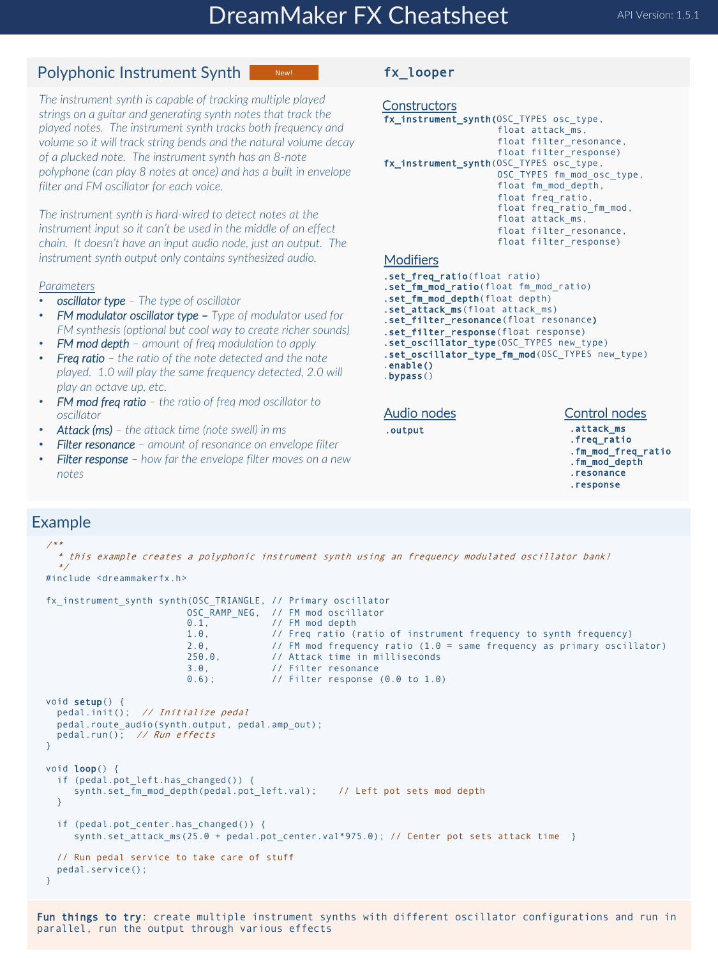New!

## Polyphonic Instrument Synth

*The instrument synth is capable of tracking multiple played strings on a guitar and generating synth notes that track the played notes. The instrument synth tracks both frequency and volume so it will track string bends and the natural volume decay of a plucked note. The instrument synth has an 8-note polyphone (can play 8 notes at once) and has a built in envelope filter and FM oscillator for each voice.*

*The instrument synth is hard-wired to detect notes at the instrument input so it can't be used in the middle of an effect chain. It doesn't have an input audio node, just an output. The instrument synth output only contains synthesized audio.*

#### *Parameters*

- *oscillator type – The type of oscillator*
- *FM modulator oscillator type – Type of modulator used for FM synthesis (optional but cool way to create richer sounds)*
- *FM mod depth – amount of freq modulation to apply*
- *Freq ratio – the ratio of the note detected and the note played. 1.0 will play the same frequency detected, 2.0 will play an octave up, etc.*
- *FM mod freq ratio – the ratio of freq mod oscillator to oscillator*
- *Attack (ms) – the attack time (note swell) in ms*
- *Filter resonance – amount of resonance on envelope filter*
- *Filter response – how far the envelope filter moves on a new notes*

### fx\_looper

```
Constructors
fx_instrument_synth(OSC_TYPES osc_type, 
                     float attack ms,
                     float filter_resonance, 
                     float filter_response)
fx_instrument_synth(OSC_TYPES osc_type,
                     OSC TYPES fm mod osc type,
                     float fm mod depth,
                     float freq_ratio, 
                     float freq_ratio_fm_mod, 
                     float attack_ms, 
                     float filter_resonance, 
                     float filter_response)
Modifiers
```
- .set\_freq\_ratio(float ratio) .set\_fm\_mod\_ratio(float fm\_mod\_ratio)
- .set\_fm\_mod\_depth(float depth)
- .set\_attack\_ms(float attack\_ms)
- .set\_filter\_resonance(float resonance)
- .set\_filter\_response(float response)
- .set\_oscillator\_type(OSC\_TYPES new\_type)
- .set\_oscillator\_type\_fm\_mod(OSC\_TYPES new\_type)

.output

#### Audio nodes

#### Control nodes

.attack\_ms .freq\_ratio .fm\_mod\_freq\_ratio .fm\_mod\_depth .resonance .response

## Example

```
/**
   * this example creates a polyphonic instrument synth using an frequency modulated oscillator bank!
   */
#include <dreammakerfx.h>
fx_instrument_synth synth(OSC_TRIANGLE, // Primary oscillator
                              OSC_RAMP_NEG, // FM mod oscillator<br>0.1. // FM mod depth
                              0.1, 1.0, 1/ FM mod depth 1.0, 1/ Freq ratio (
                              1.0, // Freq ratio (ratio of instrument frequency to synth frequency)<br>2.0, // FM mod frequency ratio (1.0 = same frequency as primary oscil
                              2.0, \frac{1}{250.0} // FM mod frequency ratio (1.0 = same frequency as primary oscillator)<br>250.0, // Attack time in milliseconds
                              250.0, // Attack time in milliseconds<br>3.0. // Filter resonance
                              3.0, // Filter resonance<br>0.6); // Filter response
                                                // Filter response (0.0 \text{ to } 1.0)void setup()
  pedal.init(); // Initialize pedal
  pedal.route_audio(synth.output, pedal.amp_out);
  pedal.run(); \frac{1}{2} // Run effects
}
void loop() {
  if (pedal.pot_left.has_changed()) { 
      synth.set_fm_mod_depth(pedal.pot_left.val); // Left pot sets mod depth
  }
  if (pedal.pot center.has changed()) {
      synth.set attack ms(25.0 + pedal.pot center.val*975.0); // Center pot sets attack time }
  // Run pedal service to take care of stuff
  pedal.service(); 
}
```
Fun things to try: create multiple instrument synths with different oscillator configurations and run in parallel, run the output through various effects

<sup>.</sup>enable() .bypass()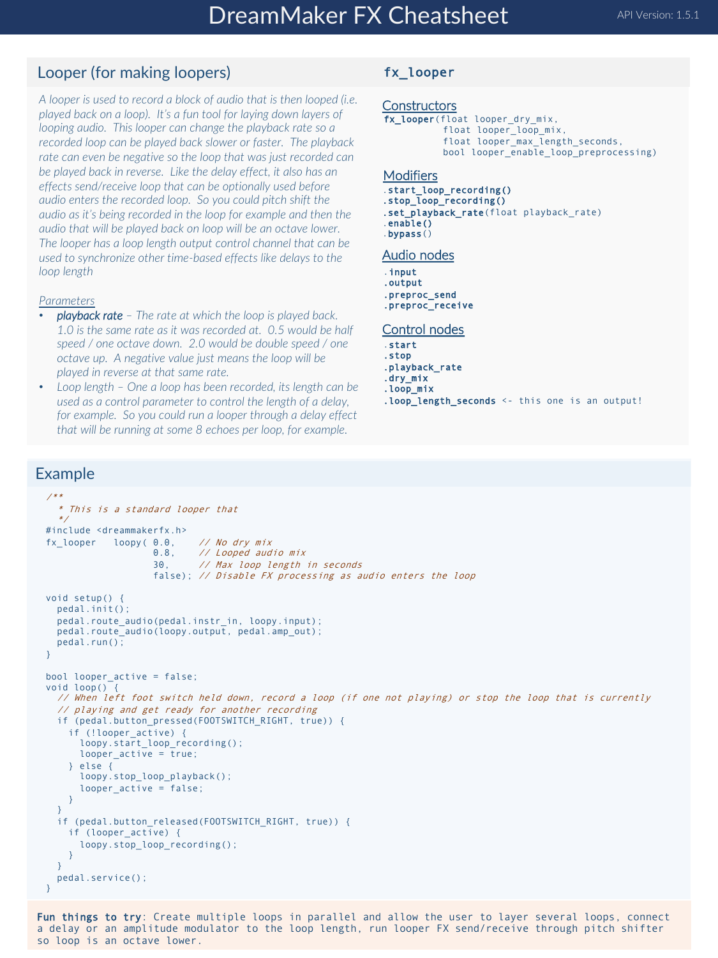## Looper (for making loopers)

*A looper is used to record a block of audio that is then looped (i.e. played back on a loop). It's a fun tool for laying down layers of looping audio. This looper can change the playback rate so a recorded loop can be played back slower or faster. The playback rate can even be negative so the loop that was just recorded can be played back in reverse. Like the delay effect, it also has an effects send/receive loop that can be optionally used before audio enters the recorded loop. So you could pitch shift the audio as it's being recorded in the loop for example and then the audio that will be played back on loop will be an octave lower. The looper has a loop length output control channel that can be used to synchronize other time-based effects like delays to the loop length*

#### *Parameters*

- *playback rate – The rate at which the loop is played back. 1.0 is the same rate as it was recorded at. 0.5 would be half speed / one octave down. 2.0 would be double speed / one octave up. A negative value just means the loop will be played in reverse at that same rate.*
- *Loop length – One a loop has been recorded, its length can be used as a control parameter to control the length of a delay, for example. So you could run a looper through a delay effect that will be running at some 8 echoes per loop, for example.*

### fx\_looper

#### **Constructors**

```
fx_looper(float looper_dry_mix, 
           float looper_loop_mix, 
           float looper_max_length_seconds, 
           bool looper_enable_loop_preprocessing)
```
#### **Modifiers**

- .start\_loop\_recording()
- .stop\_loop\_recording()
- .set\_playback\_rate(float playback\_rate)
- .enable() .bypass()

#### Audio nodes

- .input
- .output
- .preproc\_send
- .preproc\_receive

#### Control nodes

- .start
- .stop
- .playback\_rate
- .dry\_mix .loop\_mix
- .loop\_length\_seconds <- this one is an output!

### Example

```
/**
  * This is a standard looper that 
  */
#include <dreammakerfx.h>
\begin{array}{ccc} \n  f x \_looper & \n 1 oopy( 0.0, & \n  // No dry mix & \n 0.8, & \n  // Looped aud\n \end{array}0.8, // Looped audio mix
                     30, // Max loop length in seconds
                     false); // Disable FX processing as audio enters the loop
void setup() {
  pedal.init();
  pedal.route_audio(pedal.instr_in, loopy.input);
  pedal.route_audio(loopy.output, pedal.amp_out);
  pedal.run(); 
}
bool looper_active = false;
void loop() {
  // When left foot switch held down, record a loop (if one not playing) or stop the loop that is currently 
  // playing and get ready for another recording
  if (pedal.button_pressed(FOOTSWITCH_RIGHT, true)) {
    if (!looper_active) {
      loopy.start_loop_recording();
      looper_active = true;
    } else {
      loopy.stop_loop_playback();
      looper_active = false;
    }
  }
  if (pedal.button released(FOOTSWITCH RIGHT, true)) {
    if (looper_active) {
      loopy.stop_loop_recording();
    }
  } 
  pedal.service(); 
}
```
Fun things to try: Create multiple loops in parallel and allow the user to layer several loops, connect a delay or an amplitude modulator to the loop length, run looper FX send/receive through pitch shifter so loop is an octave lower.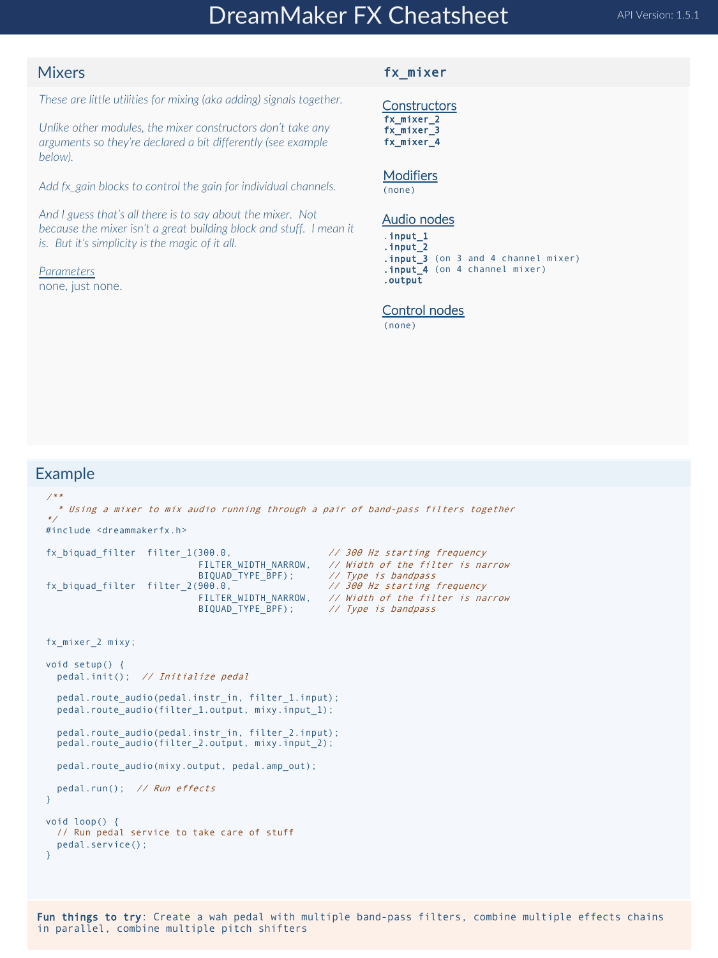## DreamMaker FX Cheatsheet API Version: 1.5.1

### **Mixers**

*These are little utilities for mixing (aka adding) signals together.* 

*Unlike other modules, the mixer constructors don't take any arguments so they're declared a bit differently (see example below).* 

*Add fx\_gain blocks to control the gain for individual channels.*

*And I guess that's all there is to say about the mixer. Not because the mixer isn't a great building block and stuff. I mean it is. But it's simplicity is the magic of it all.*

*Parameters* none, just none.

#### fx\_mixer

**Constructors** fx\_mixer\_2 fx\_mixer\_3 fx\_mixer\_4

**Modifiers** 

(none)

#### Audio nodes

.input\_1 .input\_2 .input\_3 (on 3 and 4 channel mixer)

.input\_4 (on 4 channel mixer) .output

#### Control nodes

(none)

```
/**
  * Using a mixer to mix audio running through a pair of band-pass filters together
*/
#include <dreammakerfx.h>
fx biquad filter filter 1(300.0, \frac{1}{300} Hz starting frequency
                                                         // Width of the filter is narrow<br>// Type is bandpass
                              FILTER_WIDTH_NARROW, // Width of the filter is na.<br>BIQUAD_TYPE_BPF); // Type is bandpass<br>900.0, // 300 Hz starting frequency
fx_biquad_filter filter_2(900.0,<br>FILTER WIDTH NARROW.
                                                         // Width of the filter is narrow
                              BIQUAD<sup>TYPE</sup>_BPF); // Type is bandpass
fx_mixer_2 mixy;
void setup() {
  pedal.init(); // Initialize pedal
  pedal.route_audio(pedal.instr_in, filter_1.input);
  pedal.route_audio(filter_1.output, mixy.input_1);
  pedal.route_audio(pedal.instr_in, filter_2.input);
  pedal.route_audio(filter_2.output, mixy.input_2);
  pedal.route audio(mixy.output, pedal.amp out);
  pedal.run(); // Run effects
}
void loop() {
  // Run pedal service to take care of stuff
  pedal.service(); 
}
```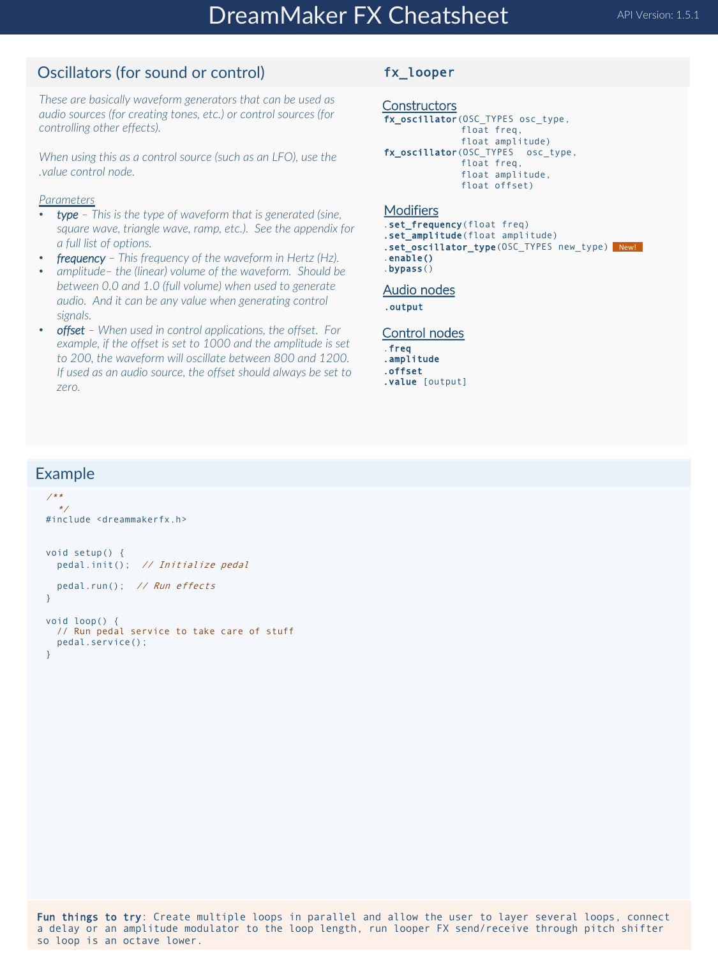## Oscillators (for sound or control)

*These are basically waveform generators that can be used as audio sources (for creating tones, etc.) or control sources (for controlling other effects).* 

*When using this as a control source (such as an LFO), use the .value control node.*

### *Parameters*

- *type – This is the type of waveform that is generated (sine, square wave, triangle wave, ramp, etc.). See the appendix for a full list of options.*
- *frequency – This frequency of the waveform in Hertz (Hz).*
- *amplitude– the (linear) volume of the waveform. Should be between 0.0 and 1.0 (full volume) when used to generate audio. And it can be any value when generating control signals.*
- *offset – When used in control applications, the offset. For example, if the offset is set to 1000 and the amplitude is set to 200, the waveform will oscillate between 800 and 1200. If used as an audio source, the offset should always be set to zero.*

### fx\_looper

```
Constructors
fx_oscillator(OSC_TYPES osc_type, 
               float freq, 
              float amplitude)
fx_oscillator(OSC_TYPES osc_type, 
              float freq, 
              float amplitude, 
               float offset)
```
#### **Modifiers**

- .set\_frequency(float freq)
- .set\_amplitude(float amplitude)
- .set\_oscillator\_type(OSC\_TYPES new type) New! .enable()

```
.bypass()
```
#### Audio nodes

.output

#### Control nodes

- .freq .amplitude .offset
- .value [output]

## Example

```
/**
  */
#include <dreammakerfx.h>
void setup() {
  pedal.init(); // Initialize pedal
  pedal.run(); // Run effects
}
void loop() {
  // Run pedal service to take care of stuff
  pedal.service(); 
}
```
Fun things to try: Create multiple loops in parallel and allow the user to layer several loops, connect a delay or an amplitude modulator to the loop length, run looper FX send/receive through pitch shifter so loop is an octave lower.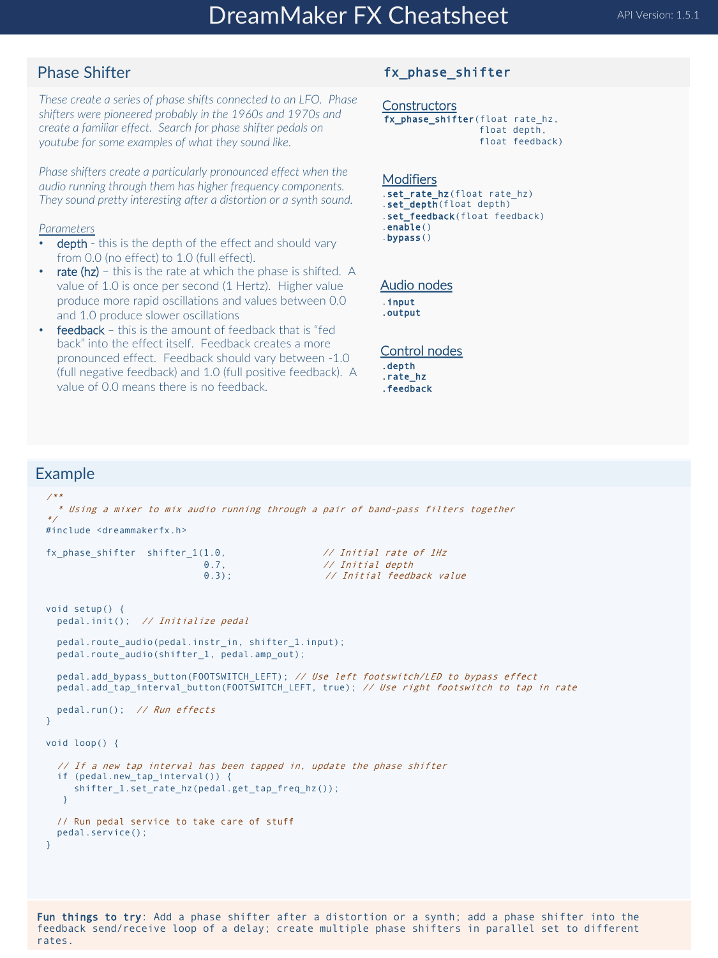## Phase Shifter

*These create a series of phase shifts connected to an LFO. Phase shifters were pioneered probably in the 1960s and 1970s and create a familiar effect. Search for phase shifter pedals on youtube for some examples of what they sound like.* 

*Phase shifters create a particularly pronounced effect when the audio running through them has higher frequency components. They sound pretty interesting after a distortion or a synth sound.*

#### *Parameters*

- depth this is the depth of the effect and should vary from 0.0 (no effect) to 1.0 (full effect).
- rate  $(hz)$  this is the rate at which the phase is shifted. A value of 1.0 is once per second (1 Hertz). Higher value produce more rapid oscillations and values between 0.0 and 1.0 produce slower oscillations
- feedback this is the amount of feedback that is "fed back" into the effect itself. Feedback creates a more pronounced effect. Feedback should vary between -1.0 (full negative feedback) and 1.0 (full positive feedback). A value of 0.0 means there is no feedback.

#### fx\_phase\_shifter

**Constructors** fx\_phase\_shifter(float rate\_hz, float depth, float feedback)

#### **Modifiers**

.set\_rate\_hz(float rate\_hz) .set depth(float depth) .set\_feedback(float feedback) .enable() .bypass()

#### Audio nodes

.input .output

#### Control nodes

- .depth .rate\_hz
- .feedback

### Example

```
/**
  * Using a mixer to mix audio running through a pair of band-pass filters together
*/
#include <dreammakerfx.h>
fx phase shifter shifter 1(1.0, // Initial rate of 1Hz0.7, 0.3; 0.3); 0.4 0.3// Initial feedback value
void setup() {
 pedal.init(); // Initialize pedal
 pedal.route_audio(pedal.instr_in, shifter_1.input);
 pedal.route audio(shifter 1, pedal.amp out);
 pedal.add_bypass_button(FOOTSWITCH_LEFT); // Use left footswitch/LED to bypass effect
 pedal.add_tap_interval_button(FOOTSWITCH_LEFT, true); // Use right footswitch to tap in rate
 pedal.run(); // Run effects
}
void loop() {
  // If a new tap interval has been tapped in, update the phase shifter
  if (pedal.new tap interval()) {
    shifter_1.set_rate_hz(pedal.get_tap_freq_hz());
  }
 // Run pedal service to take care of stuff
 pedal.service(); 
}
```
Fun things to try: Add a phase shifter after a distortion or a synth; add a phase shifter into the feedback send/receive loop of a delay; create multiple phase shifters in parallel set to different rates.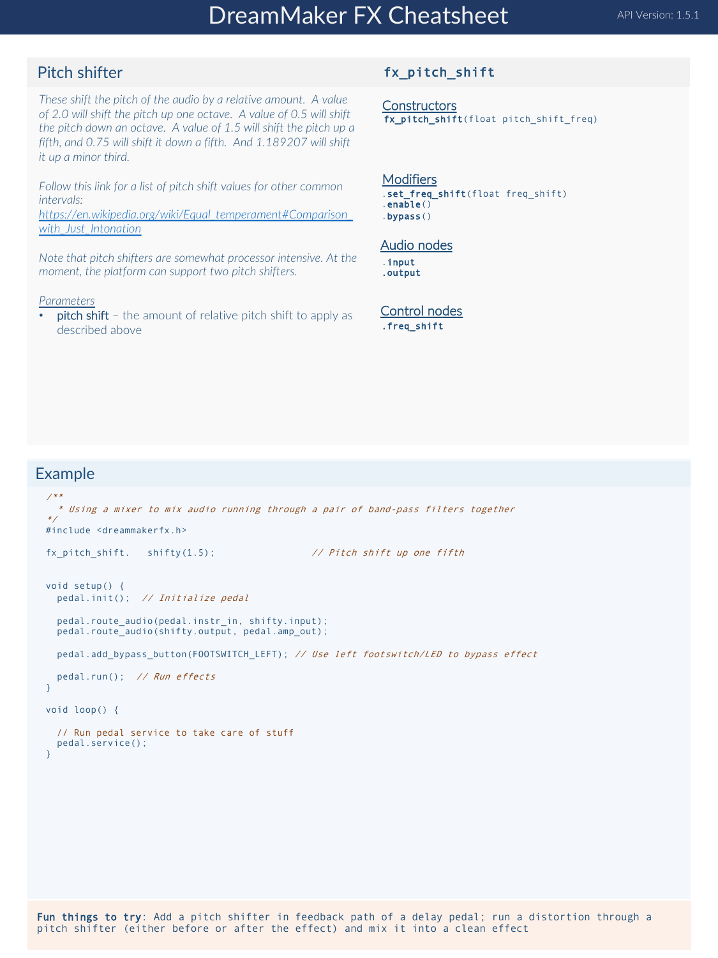# DreamMaker FX Cheatsheet API Version: 1.5.1

## Pitch shifter

### fx\_pitch\_shift

*These shift the pitch of the audio by a relative amount. A value of 2.0 will shift the pitch up one octave. A value of 0.5 will shift [the pitch down an octave. A value of 1.5 will shift the pitch up a](https://en.wikipedia.org/wiki/Equal_temperament) fifth, and 0.75 will shift it down a fifth. And 1.189207 will shift it up a minor third.* 

*Follow this link for a list of pitch shift values for other common intervals:* 

*https://en.wikipedia.org/wiki/Equal\_temperament#Comparison\_ with\_Just\_Intonation*

*Note that pitch shifters are somewhat processor intensive. At the moment, the platform can support two pitch shifters.*

#### *Parameters*

• pitch shift – the amount of relative pitch shift to apply as described above

## **Constructors**

fx\_pitch\_shift(float pitch\_shift\_freq)

#### **Modifiers**

.set\_freq\_shift(float freq\_shift)  $.$ enable $()$ .bypass()

#### Audio nodes

.input .output

Control nodes .freq\_shift

```
/**
* Using a mixer to mix audio running through a pair of band-pass filters together
*/
#include <dreammakerfx.h>
fx_pitch_shift. shifty(1.5); \frac{1}{2} // Pitch shift up one fifth
void setup() {
 pedal.init(); // Initialize pedal
  pedal.route_audio(pedal.instr_in, shifty.input);
  pedal.route<sup>-</sup>audio(shifty.output, pedal.amp out);
  pedal.add_bypass_button(FOOTSWITCH_LEFT); // Use left footswitch/LED to bypass effect
  pedal.run(); // Run effects
}
void loop() {
  // Run pedal service to take care of stuff
  pedal.service(); 
}
```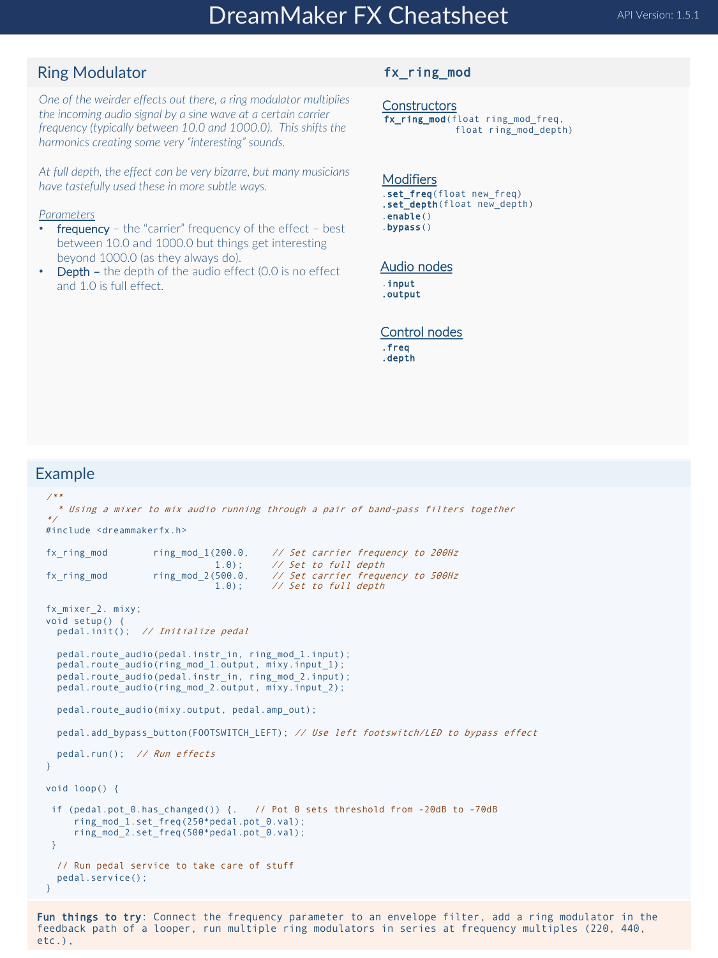## Ring Modulator

*One of the weirder effects out there, a ring modulator multiplies the incoming audio signal by a sine wave at a certain carrier frequency (typically between 10.0 and 1000.0). This shifts the harmonics creating some very "interesting" sounds.*

*At full depth, the effect can be very bizarre, but many musicians have tastefully used these in more subtle ways.*

#### *Parameters*

- **frequency** the "carrier" frequency of the effect best between 10.0 and 1000.0 but things get interesting beyond 1000.0 (as they always do).
- **Depth –** the depth of the audio effect  $(0.0)$  is no effect and 1.0 is full effect.

### fx\_ring\_mod

**Constructors** fx\_ring\_mod(float ring\_mod\_freq, float ring mod depth)

#### Modifiers .set\_freq(float new\_freq) .set depth(float new depth) .enable() .bypass()

#### Audio nodes

.input .output

#### Control nodes

.freq .depth

### Example

```
/**
  * Using a mixer to mix audio running through a pair of band-pass filters together
*/
#include <dreammakerfx.h>
fx_ring_mod ring_mod_1(200.0, // Set carrier frequency to 200Hz
                   1.0); \frac{1}{2} // Set to full depth ring mod 2(500.0, \frac{1}{2} Set carrier frequency
fx_ring_mod ring_mod_2(500.0, // Set carrier frequency to 500Hz
                               1.0); // Set to full depth
fx_mixer_2. mixy; 
void setup() {
  pedal.init(); // Initialize pedal
  pedal.route audio(pedal.instr_in, ring_mod_1.input);
  pedal.route_audio(ring_mod_1.output, mixy.input_1);
  pedal.route_audio(pedal.instr_in, ring_mod_2.input);
  pedal.route_audio(ring_mod_2.output, mixy.input_2);
 pedal.route_audio(mixy.output, pedal.amp_out);
  pedal.add_bypass_button(FOOTSWITCH_LEFT); // Use left footswitch/LED to bypass effect
  pedal.run(); // Run effects
}
void loop() {
 if (pedal.pot_0.has_changed()) {. // Pot 0 sets threshold from -20dB to -70dB
     ring_mod_1.set_freq(250*pedal.pot_0.val); 
     ring_mod_2.set_freq(500*pedal.pot_0.val); 
}
  // Run pedal service to take care of stuff
 pedal.service(); 
}
```
Fun things to try: Connect the frequency parameter to an envelope filter, add a ring modulator in the feedback path of a looper, run multiple ring modulators in series at frequency multiples (220, 440, etc.),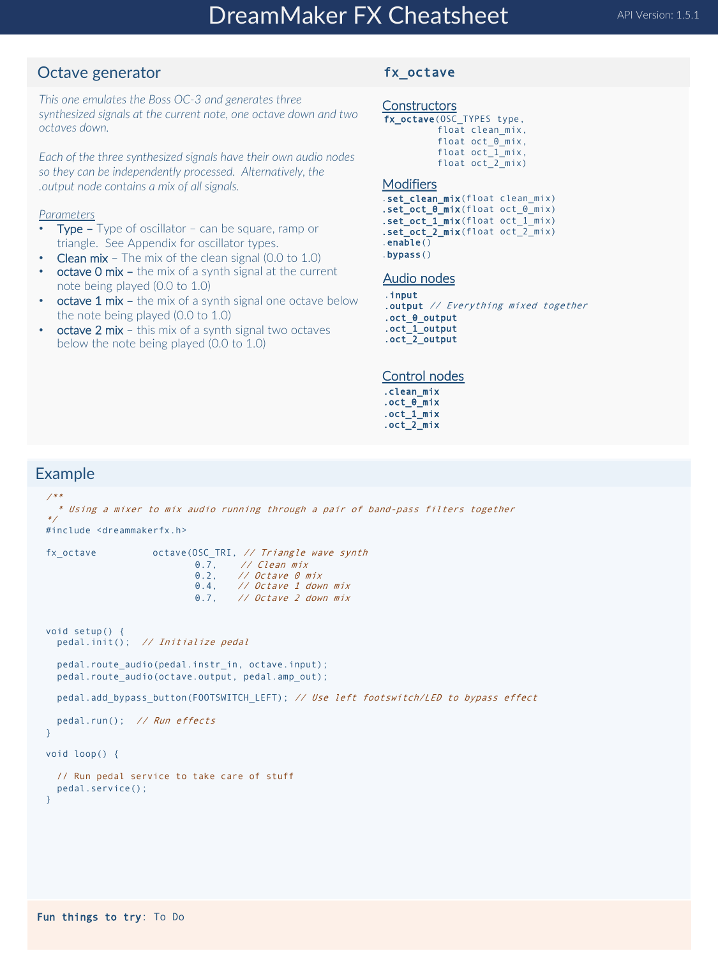## Octave generator

*This one emulates the Boss OC-3 and generates three synthesized signals at the current note, one octave down and two octaves down.* 

*Each of the three synthesized signals have their own audio nodes so they can be independently processed. Alternatively, the .output node contains a mix of all signals.*

### *Parameters*

- **Type –** Type of oscillator can be square, ramp or triangle. See Appendix for oscillator types.
- **Clean mix** The mix of the clean signal  $(0.0 \text{ to } 1.0)$
- octave 0 mix the mix of a synth signal at the current note being played (0.0 to 1.0)
- **octave 1 mix –** the mix of a synth signal one octave below the note being played (0.0 to 1.0)
- **octave 2 mix** this mix of a synth signal two octaves below the note being played (0.0 to 1.0)

### fx\_octave

#### **Constructors**

fx\_octave(OSC\_TYPES type, float clean\_mix, float oct\_0\_mix, float oct<sup>1</sup>mix, float oct 2 mix)

#### Modifiers

.set\_clean\_mix(float clean\_mix) .set\_oct\_0\_mix(float oct\_0\_mix) .set\_oct\_1\_mix(float oct\_1\_mix) .set\_oct\_2\_mix(float oct\_2\_mix) .enable() .bypass()

#### Audio nodes

.input .output // Everything mixed together .oct\_0\_output .oct\_1\_output .oct\_2\_output

#### Control nodes

.clean\_mix .oct\_0\_mix .oct\_1\_mix .oct\_2\_mix

```
/**
  * Using a mixer to mix audio running through a pair of band-pass filters together
*/
#include <dreammakerfx.h>
fx_octave octave(OSC_TRI, 1/ Triangle wave synth)0.7, // Clean mix
0.2, // Octave 0 mix
                          0.4, // Octave 1 down mix
                          0.7, // Octave 2 down mix
void setup() {
 pedal.init(); // Initialize pedal
 pedal.route_audio(pedal.instr_in, octave.input);
 pedal.route_audio(octave.output, pedal.amp_out);
 pedal.add_bypass_button(FOOTSWITCH_LEFT); // Use left footswitch/LED to bypass effect
 pedal.run(); // Run effects
}
void loop() {
  // Run pedal service to take care of stuff
 pedal.service(); 
}
```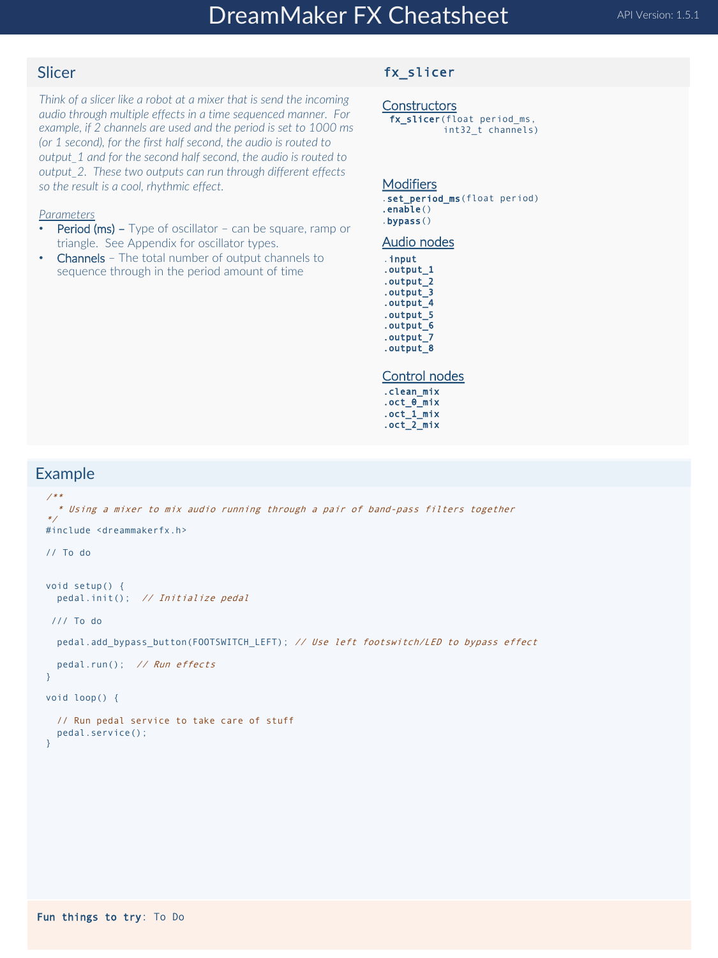## Slicer

*Think of a slicer like a robot at a mixer that is send the incoming audio through multiple effects in a time sequenced manner. For example, if 2 channels are used and the period is set to 1000 ms (or 1 second), for the first half second, the audio is routed to output\_1 and for the second half second, the audio is routed to output\_2. These two outputs can run through different effects so the result is a cool, rhythmic effect.*

#### *Parameters*

- Period (ms) Type of oscillator can be square, ramp or triangle. See Appendix for oscillator types.
- **Channels** The total number of output channels to sequence through in the period amount of time

### fx\_slicer

### **Constructors**

fx\_slicer(float period\_ms, int32\_t channels)

#### Modifiers

- .set\_period\_ms(float period) .enable()
- .bypass()

#### Audio nodes

- .input
- .output\_1 .output\_2
- .output\_3
- .output\_4
- .output\_5 .output\_6
- .output\_7
- .output\_8

#### Control nodes

.clean\_mix .oct\_0\_mix .oct\_1\_mix .oct\_2\_mix

```
/**
  * Using a mixer to mix audio running through a pair of band-pass filters together
*/
#include <dreammakerfx.h>
// To do 
void setup() {
 pedal.init(); // Initialize pedal
/// To do
 pedal.add_bypass_button(FOOTSWITCH_LEFT); // Use left footswitch/LED to bypass effect
 pedal.run(); // Run effects
}
void loop() {
  // Run pedal service to take care of stuff
 pedal.service(); 
}
```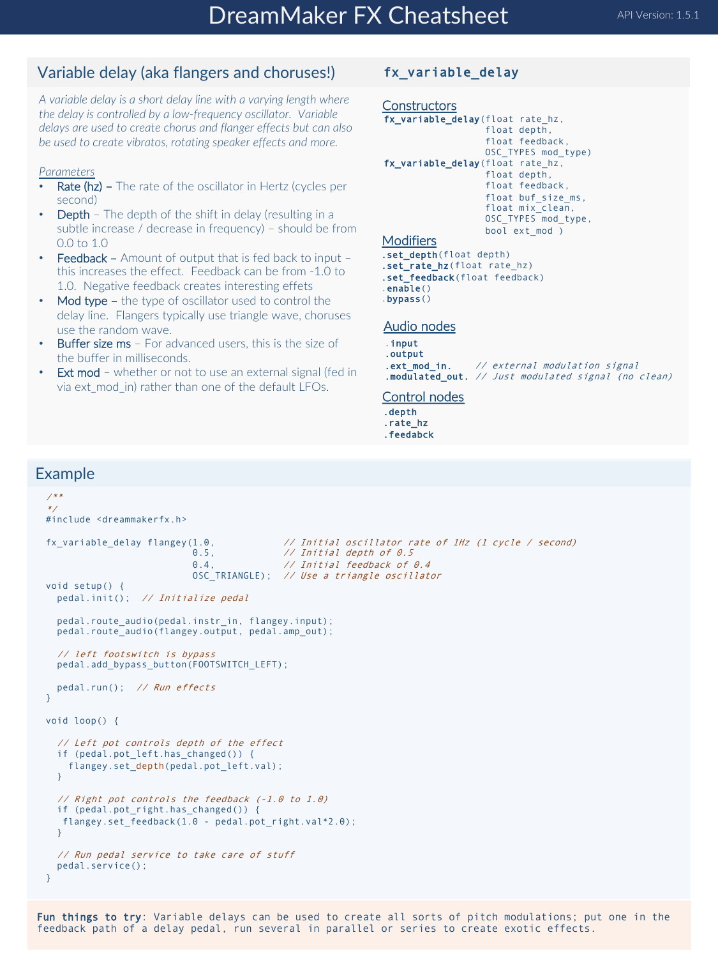## Variable delay (aka flangers and choruses!)

*A variable delay is a short delay line with a varying length where the delay is controlled by a low-frequency oscillator. Variable delays are used to create chorus and flanger effects but can also be used to create vibratos, rotating speaker effects and more.* 

### *Parameters*

- Rate (hz) The rate of the oscillator in Hertz (cycles per second)
- **Depth** The depth of the shift in delay (resulting in a subtle increase / decrease in frequency) – should be from 0.0 to 1.0
- Feedback Amount of output that is fed back to input this increases the effect. Feedback can be from -1.0 to 1.0. Negative feedback creates interesting effets
- Mod type the type of oscillator used to control the delay line. Flangers typically use triangle wave, choruses use the random wave.
- Buffer size ms For advanced users, this is the size of the buffer in milliseconds.
- **Ext mod** whether or not to use an external signal (fed in via ext mod in) rather than one of the default LFOs.

## fx\_variable\_delay

```
Constructors
fx_variable_delay(float rate_hz, 
                   float depth, 
                   float feedback, 
                   OSC_TYPES mod_type)
fx_variable_delay(float rate_hz,
                   float depth, 
                   float feedback, 
                   float buf size ms,
                   float mix clean,
                   OSC_TYPES mod_type, 
                   bool ext_mod )
Modifiers
.set_depth(float depth)
```

```
.set_rate_hz(float rate_hz)
.set_feedback(float feedback)
enable().bypass()
```
#### Audio nodes

```
.input
.output
.ext_mod_in. // external modulation signal
.modulated_out. // Just modulated signal (no clean)
```
#### Control nodes

- .depth
- .rate\_hz
- .feedabck

```
/**
*/
#include <dreammakerfx.h>
fx_variable_delay flangey(1.0, \frac{1}{10} // Initial oscillator rate of 1Hz (1 cycle / second)<br>0.5
                                           11 Initial depth of 0.5
                           0.4, \frac{1}{10} Initial feedback of 0.4
                          OSC_TRIANGLE); // Use a triangle oscillator
void setup() {
 pedal.init(); // Initialize pedal
  pedal.route_audio(pedal.instr_in, flangey.input);
  pedal.route_audio(flangey.output, pedal.amp_out); 
  // left footswitch is bypass
  pedal.add bypass_button(FOOTSWITCH_LEFT);
  pedal.run(); // Run effects
}
void loop() {
  // Left pot controls depth of the effect
  if (pedal.pot_left.has_changed()) { 
    flangey.set depth(pedal.pot left.val);
  } 
  // Right pot controls the feedback (-1.0 to 1.0)
  if (pedal.pot_right.has_changed()) {
  flangey.set_feedback(1.0 - pedal.pot_right.val*2.0);
  }
  // Run pedal service to take care of stuff
  pedal.service(); 
}
```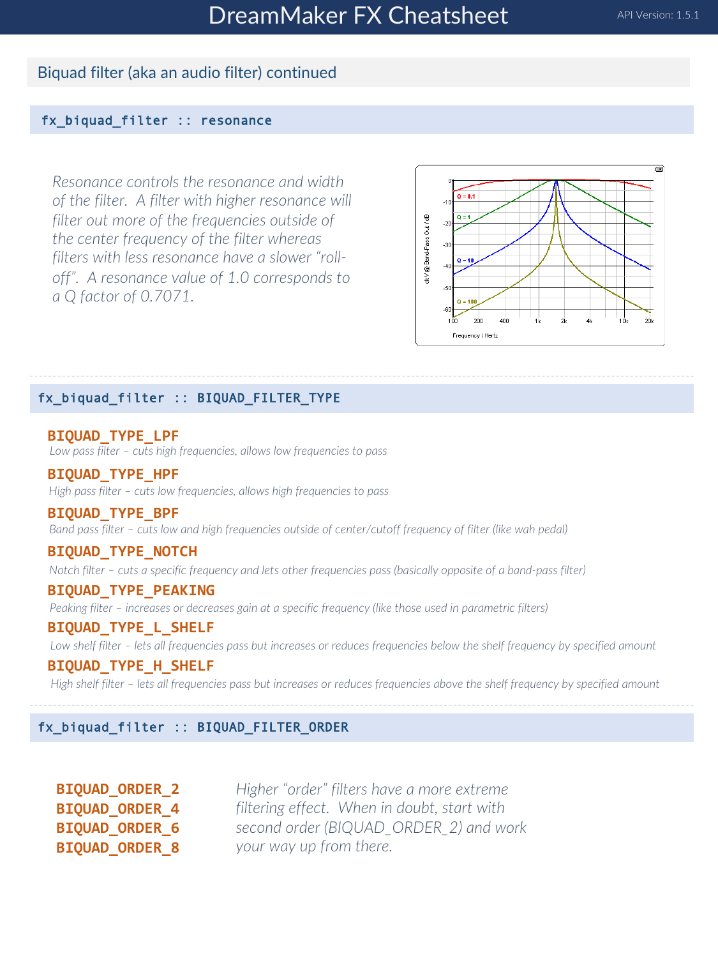## Biquad filter (aka an audio filter) continued

## fx\_biquad\_filter :: resonance

*Resonance controls the resonance and width of the filter. A filter with higher resonance will filter out more of the frequencies outside of the center frequency of the filter whereas filters with less resonance have a slower "rolloff". A resonance value of 1.0 corresponds to a Q factor of 0.7071.* 



## fx\_biquad\_filter :: BIQUAD\_FILTER\_TYPE

**BIQUAD\_TYPE\_LPF** *Low pass filter – cuts high frequencies, allows low frequencies to pass*

**BIQUAD\_TYPE\_HPF** *High pass filter – cuts low frequencies, allows high frequencies to pass*

**BIQUAD\_TYPE\_BPF** *Band pass filter – cuts low and high frequencies outside of center/cutoff frequency of filter (like wah pedal)*

## **BIQUAD\_TYPE\_NOTCH**

*Notch filter – cuts a specific frequency and lets other frequencies pass (basically opposite of a band-pass filter)* 

### **BIQUAD\_TYPE\_PEAKING**

*Peaking filter – increases or decreases gain at a specific frequency (like those used in parametric filters)*

## **BIQUAD\_TYPE\_L\_SHELF**

*Low shelf filter – lets all frequencies pass but increases or reduces frequencies below the shelf frequency by specified amount*

## **BIQUAD\_TYPE\_H\_SHELF**

*High shelf filter – lets all frequencies pass but increases or reduces frequencies above the shelf frequency by specified amount*

fx\_biquad\_filter :: BIQUAD\_FILTER\_ORDER

**BIQUAD\_ORDER\_2 BIQUAD\_ORDER\_4 BIQUAD\_ORDER\_6 BIQUAD\_ORDER\_8**

*Higher "order" filters have a more extreme filtering effect. When in doubt, start with second order (BIQUAD\_ORDER\_2) and work your way up from there.*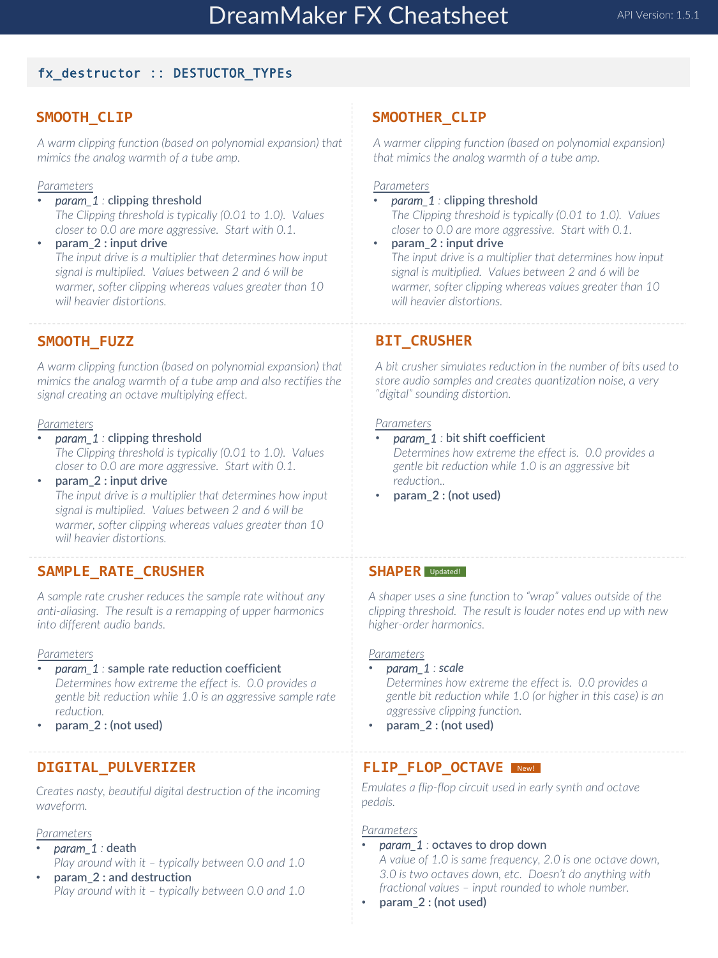## fx\_destructor :: DESTUCTOR\_TYPEs

## **SMOOTH\_CLIP**

*A warm clipping function (based on polynomial expansion) that mimics the analog warmth of a tube amp.*

### *Parameters*

- *param\_1 :* clipping threshold *The Clipping threshold is typically (0.01 to 1.0). Values closer to 0.0 are more aggressive. Start with 0.1.*
- **param\_2 : input drive**  *The input drive is a multiplier that determines how input signal is multiplied. Values between 2 and 6 will be warmer, softer clipping whereas values greater than 10 will heavier distortions.*

## **SMOOTH\_FUZZ**

*A warm clipping function (based on polynomial expansion) that mimics the analog warmth of a tube amp and also rectifies the signal creating an octave multiplying effect.*

#### *Parameters*

- *param\_1 :* clipping threshold *The Clipping threshold is typically (0.01 to 1.0). Values closer to 0.0 are more aggressive. Start with 0.1.*
- param 2 : input drive *The input drive is a multiplier that determines how input signal is multiplied. Values between 2 and 6 will be warmer, softer clipping whereas values greater than 10 will heavier distortions.*

## **SAMPLE\_RATE\_CRUSHER**

*A sample rate crusher reduces the sample rate without any anti-aliasing. The result is a remapping of upper harmonics into different audio bands.* 

#### *Parameters*

• *param\_1 :* sample rate reduction coefficient

*Determines how extreme the effect is. 0.0 provides a gentle bit reduction while 1.0 is an aggressive sample rate reduction.*

• **param\_2 : (not used)**

### **DIGITAL\_PULVERIZER**

*Creates nasty, beautiful digital destruction of the incoming waveform.*

#### *Parameters*

- *param\_1 :* death *Play around with it – typically between 0.0 and 1.0*
- **param\_2 : and destruction** *Play around with it – typically between 0.0 and 1.0*

### **SMOOTHER\_CLIP**

*A warmer clipping function (based on polynomial expansion) that mimics the analog warmth of a tube amp.*

#### *Parameters*

• *param\_1 :* clipping threshold

*The Clipping threshold is typically (0.01 to 1.0). Values closer to 0.0 are more aggressive. Start with 0.1.*

• **param\_2 : input drive**  *The input drive is a multiplier that determines how input signal is multiplied. Values between 2 and 6 will be warmer, softer clipping whereas values greater than 10 will heavier distortions.*

## **BIT\_CRUSHER**

*A bit crusher simulates reduction in the number of bits used to store audio samples and creates quantization noise, a very "digital" sounding distortion.* 

#### *Parameters*

• *param\_1 :* bit shift coefficient

*Determines how extreme the effect is. 0.0 provides a gentle bit reduction while 1.0 is an aggressive bit reduction..*

• **param\_2 : (not used)**

## **SHAPER** Updated!

*A shaper uses a sine function to "wrap" values outside of the clipping threshold. The result is louder notes end up with new higher-order harmonics.*

#### *Parameters*

• *param\_1 : scale*

*Determines how extreme the effect is. 0.0 provides a gentle bit reduction while 1.0 (or higher in this case) is an aggressive clipping function.*

• **param\_2 : (not used)**

## **FLIP\_FLOP\_OCTAVE**  New!

*Emulates a flip-flop circuit used in early synth and octave pedals.*

#### *Parameters*

• *param\_1 :* octaves to drop down

*A value of 1.0 is same frequency, 2.0 is one octave down, 3.0 is two octaves down, etc. Doesn't do anything with fractional values – input rounded to whole number.*

• **param\_2 : (not used)**